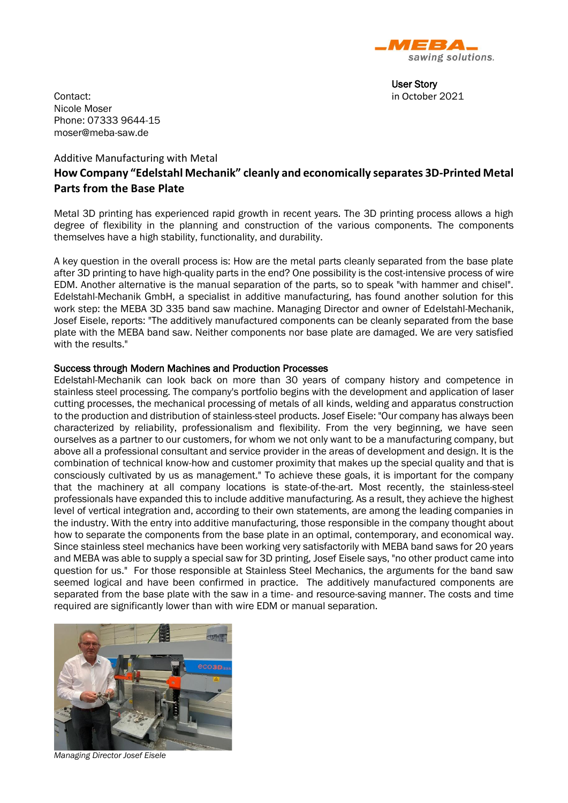

User Story

Contact: in October 2021 Nicole Moser Phone: 07333 9644-15 moser@meba-saw.de

# Additive Manufacturing with Metal **How Company "Edelstahl Mechanik" cleanly and economically separates 3D-Printed Metal Parts from the Base Plate**

Metal 3D printing has experienced rapid growth in recent years. The 3D printing process allows a high degree of flexibility in the planning and construction of the various components. The components themselves have a high stability, functionality, and durability.

A key question in the overall process is: How are the metal parts cleanly separated from the base plate after 3D printing to have high-quality parts in the end? One possibility is the cost-intensive process of wire EDM. Another alternative is the manual separation of the parts, so to speak "with hammer and chisel". Edelstahl-Mechanik GmbH, a specialist in additive manufacturing, has found another solution for this work step: the MEBA 3D 335 band saw machine. Managing Director and owner of Edelstahl-Mechanik, Josef Eisele, reports: "The additively manufactured components can be cleanly separated from the base plate with the MEBA band saw. Neither components nor base plate are damaged. We are very satisfied with the results."

### Success through Modern Machines and Production Processes

Edelstahl-Mechanik can look back on more than 30 years of company history and competence in stainless steel processing. The company's portfolio begins with the development and application of laser cutting processes, the mechanical processing of metals of all kinds, welding and apparatus construction to the production and distribution of stainless-steel products. Josef Eisele: "Our company has always been characterized by reliability, professionalism and flexibility. From the very beginning, we have seen ourselves as a partner to our customers, for whom we not only want to be a manufacturing company, but above all a professional consultant and service provider in the areas of development and design. It is the combination of technical know-how and customer proximity that makes up the special quality and that is consciously cultivated by us as management." To achieve these goals, it is important for the company that the machinery at all company locations is state-of-the-art. Most recently, the stainless-steel professionals have expanded this to include additive manufacturing. As a result, they achieve the highest level of vertical integration and, according to their own statements, are among the leading companies in the industry. With the entry into additive manufacturing, those responsible in the company thought about how to separate the components from the base plate in an optimal, contemporary, and economical way. Since stainless steel mechanics have been working very satisfactorily with MEBA band saws for 20 years and MEBA was able to supply a special saw for 3D printing, Josef Eisele says, "no other product came into question for us." For those responsible at Stainless Steel Mechanics, the arguments for the band saw seemed logical and have been confirmed in practice. The additively manufactured components are separated from the base plate with the saw in a time- and resource-saving manner. The costs and time required are significantly lower than with wire EDM or manual separation.



*Managing Director Josef Eisele*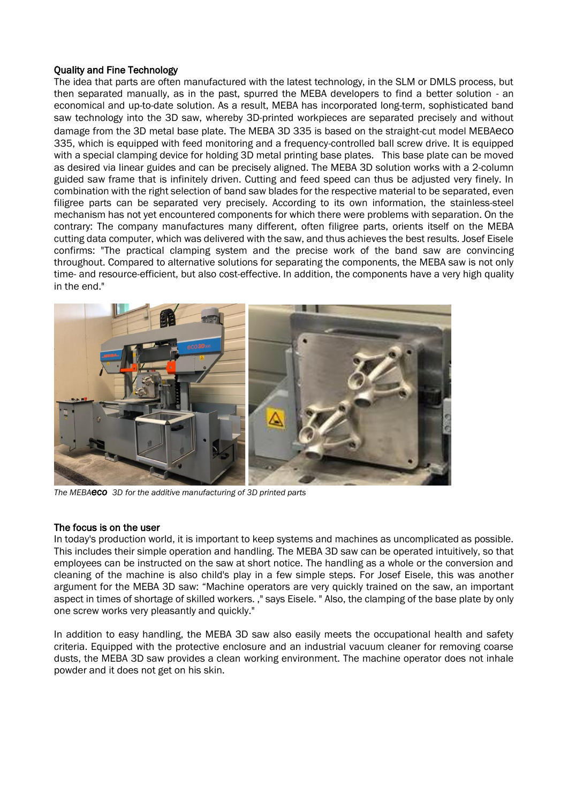## Quality and Fine Technology

The idea that parts are often manufactured with the latest technology, in the SLM or DMLS process, but then separated manually, as in the past, spurred the MEBA developers to find a better solution - an economical and up-to-date solution. As a result, MEBA has incorporated long-term, sophisticated band saw technology into the 3D saw, whereby 3D-printed workpieces are separated precisely and without damage from the 3D metal base plate. The MEBA 3D 335 is based on the straight-cut model MEBAeco 335, which is equipped with feed monitoring and a frequency-controlled ball screw drive. It is equipped with a special clamping device for holding 3D metal printing base plates. This base plate can be moved as desired via linear guides and can be precisely aligned. The MEBA 3D solution works with a 2-column guided saw frame that is infinitely driven. Cutting and feed speed can thus be adjusted very finely. In combination with the right selection of band saw blades for the respective material to be separated, even filigree parts can be separated very precisely. According to its own information, the stainless-steel mechanism has not yet encountered components for which there were problems with separation. On the contrary: The company manufactures many different, often filigree parts, orients itself on the MEBA cutting data computer, which was delivered with the saw, and thus achieves the best results. Josef Eisele confirms: "The practical clamping system and the precise work of the band saw are convincing throughout. Compared to alternative solutions for separating the components, the MEBA saw is not only time- and resource-efficient, but also cost-effective. In addition, the components have a very high quality in the end."



*The MEBAeco 3D for the additive manufacturing of 3D printed parts*

### The focus is on the user

In today's production world, it is important to keep systems and machines as uncomplicated as possible. This includes their simple operation and handling. The MEBA 3D saw can be operated intuitively, so that employees can be instructed on the saw at short notice. The handling as a whole or the conversion and cleaning of the machine is also child's play in a few simple steps. For Josef Eisele, this was another argument for the MEBA 3D saw: "Machine operators are very quickly trained on the saw, an important aspect in times of shortage of skilled workers. ," says Eisele. " Also, the clamping of the base plate by only one screw works very pleasantly and quickly."

In addition to easy handling, the MEBA 3D saw also easily meets the occupational health and safety criteria. Equipped with the protective enclosure and an industrial vacuum cleaner for removing coarse dusts, the MEBA 3D saw provides a clean working environment. The machine operator does not inhale powder and it does not get on his skin.